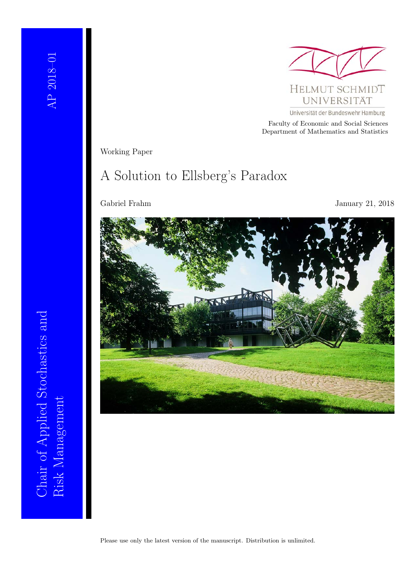

Universität der Bundeswehr Hamburg

Faculty of Economic and Social Sciences Department of Mathematics and Statistics

Working Paper

# A Solution to Ellsberg's Paradox

Gabriel Frahm January 21, 2018

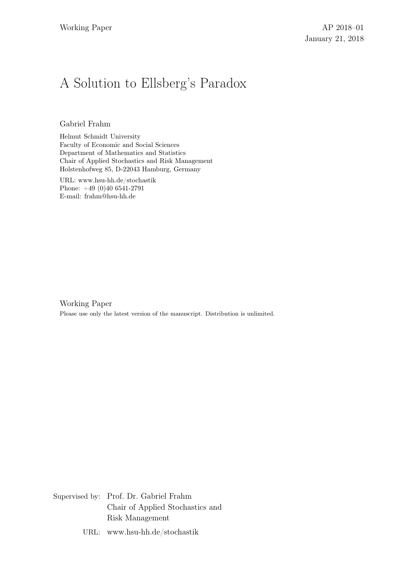# A Solution to Ellsberg's Paradox

Gabriel Frahm

Helmut Schmidt University Faculty of Economic and Social Sciences Department of Mathematics and Statistics Chair of Applied Stochastics and Risk Management Holstenhofweg 85, D-22043 Hamburg, Germany

URL: www.hsu-hh.de/stochastik Phone: +49 (0)40 6541-2791 E-mail: frahm@hsu-hh.de

Working Paper Please use only the latest version of the manuscript. Distribution is unlimited.

Supervised by: Prof. Dr. Gabriel Frahm Chair of Applied Stochastics and Risk Management

URL: www.hsu-hh.de/stochastik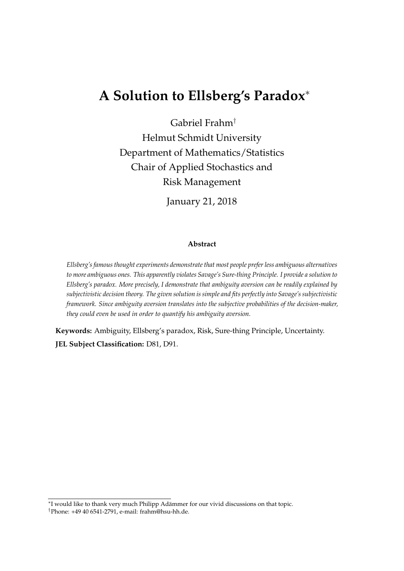# **A Solution to Ellsberg's Paradox**<sup>∗</sup>

Gabriel Frahm†

Helmut Schmidt University Department of Mathematics/Statistics Chair of Applied Stochastics and Risk Management

January 21, 2018

#### **Abstract**

*Ellsberg's famous thought experiments demonstrate that most people prefer less ambiguous alternatives to more ambiguous ones. This apparently violates Savage's Sure-thing Principle. I provide a solution to Ellsberg's paradox. More precisely, I demonstrate that ambiguity aversion can be readily explained by subjectivistic decision theory. The given solution is simple and fits perfectly into Savage's subjectivistic framework. Since ambiguity aversion translates into the subjective probabilities of the decision-maker, they could even be used in order to quantify his ambiguity aversion.*

**Keywords:** Ambiguity, Ellsberg's paradox, Risk, Sure-thing Principle, Uncertainty. **JEL Subject Classification:** D81, D91.

<sup>∗</sup> I would like to thank very much Philipp Adämmer for our vivid discussions on that topic.

<sup>†</sup>Phone: +49 40 6541-2791, e-mail: frahm@hsu-hh.de.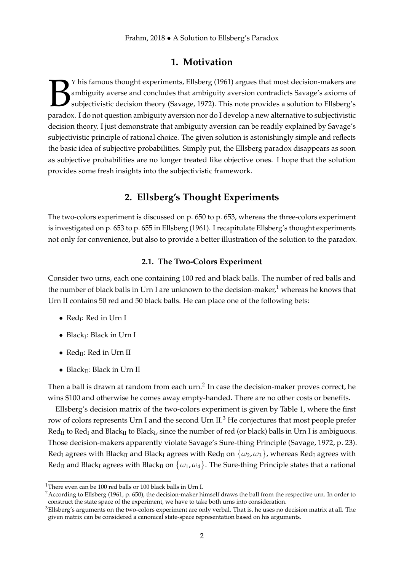## **1. Motivation**

The ambiguity averse and concludes that ambiguity aversion contradicts Savage's axioms of subjectivistic decision theory (Savage, 1972). This note provides a solution to Ellsberg's paradox. I do not question ambiguity aver Y his famous thought experiments, Ellsberg (1961) argues that most decision-makers are ambiguity averse and concludes that ambiguity aversion contradicts Savage's axioms of subjectivistic decision theory (Savage, 1972). This note provides a solution to Ellsberg's decision theory. I just demonstrate that ambiguity aversion can be readily explained by Savage's subjectivistic principle of rational choice. The given solution is astonishingly simple and reflects the basic idea of subjective probabilities. Simply put, the Ellsberg paradox disappears as soon as subjective probabilities are no longer treated like objective ones. I hope that the solution provides some fresh insights into the subjectivistic framework.

## **2. Ellsberg's Thought Experiments**

The two-colors experiment is discussed on p. 650 to p. 653, whereas the three-colors experiment is investigated on p. 653 to p. 655 in Ellsberg (1961). I recapitulate Ellsberg's thought experiments not only for convenience, but also to provide a better illustration of the solution to the paradox.

### **2.1. The Two-Colors Experiment**

Consider two urns, each one containing 100 red and black balls. The number of red balls and the number of black balls in Urn I are unknown to the decision-maker, $1$  whereas he knows that Urn II contains 50 red and 50 black balls. He can place one of the following bets:

- $\text{Red}_{\mathrm{I}}$ : Red in Urn I
- Black<sub>I</sub>: Black in Urn I
- $Red_{II}$ : Red in Urn II
- Black<sub>II</sub>: Black in Urn II

Then a ball is drawn at random from each urn.<sup>2</sup> In case the decision-maker proves correct, he wins \$100 and otherwise he comes away empty-handed. There are no other costs or benefits.

Ellsberg's decision matrix of the two-colors experiment is given by Table 1, where the first row of colors represents Urn I and the second Urn II.<sup>3</sup> He conjectures that most people prefer  $\text{Red}_{\rm II}$  to  $\text{Red}_{\rm I}$  and Black $_{\rm II}$  to Black $_{\rm I}$ , since the number of red (or black) balls in Urn I is ambiguous. Those decision-makers apparently violate Savage's Sure-thing Principle (Savage, 1972, p. 23).  $\text{Red}_{\rm I}$  agrees with Black<sub>II</sub> and Black<sub>I</sub> agrees with  $\text{Red}_{\rm II}$  on  $\{\omega_2,\omega_3\}$ , whereas  $\text{Red}_{\rm I}$  agrees with  $\text{Red}_{\rm II}$  and Black<sub>I</sub> agrees with Black<sub>II</sub> on  $\{\omega_1,\omega_4\}$ . The Sure-thing Principle states that a rational

<sup>&</sup>lt;sup>1</sup>There even can be 100 red balls or 100 black balls in Urn I.

<sup>&</sup>lt;sup>2</sup> According to Ellsberg (1961, p. 650), the decision-maker himself draws the ball from the respective urn. In order to construct the state space of the experiment, we have to take both urns into consideration.

 $3$ Ellsberg's arguments on the two-colors experiment are only verbal. That is, he uses no decision matrix at all. The given matrix can be considered a canonical state-space representation based on his arguments.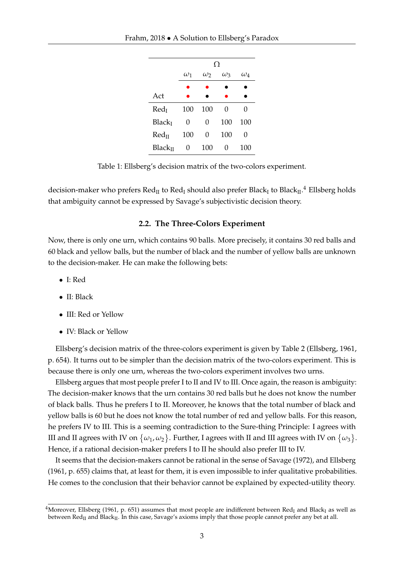|                     | Ω          |            |            |            |  |  |  |  |  |  |
|---------------------|------------|------------|------------|------------|--|--|--|--|--|--|
|                     | $\omega_1$ | $\omega_2$ | $\omega_3$ | $\omega_4$ |  |  |  |  |  |  |
|                     |            |            |            |            |  |  |  |  |  |  |
| Act                 |            |            |            |            |  |  |  |  |  |  |
| Red <sub>I</sub>    | 100        | 100        | 0          | 0          |  |  |  |  |  |  |
| Black <sub>I</sub>  | 0          | 0          | 100        | 100        |  |  |  |  |  |  |
| Red <sub>II</sub>   | 100        | 0          | 100        | 0          |  |  |  |  |  |  |
| Black <sub>II</sub> | 0          | 100        | 0          | 100        |  |  |  |  |  |  |

Table 1: Ellsberg's decision matrix of the two-colors experiment.

decision-maker who prefers  $\text{Red}_{\rm II}$  to  $\text{Red}_{\rm I}$  should also prefer Black<sub>I</sub> to Black $_{\rm II}$ .<sup>4</sup> Ellsberg holds that ambiguity cannot be expressed by Savage's subjectivistic decision theory.

#### **2.2. The Three-Colors Experiment**

Now, there is only one urn, which contains 90 balls. More precisely, it contains 30 red balls and 60 black and yellow balls, but the number of black and the number of yellow balls are unknown to the decision-maker. He can make the following bets:

- I: Red
- II: Black
- III: Red or Yellow
- IV: Black or Yellow

Ellsberg's decision matrix of the three-colors experiment is given by Table 2 (Ellsberg, 1961, p. 654). It turns out to be simpler than the decision matrix of the two-colors experiment. This is because there is only one urn, whereas the two-colors experiment involves two urns.

Ellsberg argues that most people prefer I to II and IV to III. Once again, the reason is ambiguity: The decision-maker knows that the urn contains 30 red balls but he does not know the number of black balls. Thus he prefers I to II. Moreover, he knows that the total number of black and yellow balls is 60 but he does not know the total number of red and yellow balls. For this reason, he prefers IV to III. This is a seeming contradiction to the Sure-thing Principle: I agrees with III and II agrees with IV on  $\{\omega_1,\omega_2\}.$  Further, I agrees with II and III agrees with IV on  $\{\omega_3\}.$ Hence, if a rational decision-maker prefers I to II he should also prefer III to IV.

It seems that the decision-makers cannot be rational in the sense of Savage (1972), and Ellsberg (1961, p. 655) claims that, at least for them, it is even impossible to infer qualitative probabilities. He comes to the conclusion that their behavior cannot be explained by expected-utility theory.

<sup>&</sup>lt;sup>4</sup>Moreover, Ellsberg (1961, p. 651) assumes that most people are indifferent between Red<sub>I</sub> and Black<sub>I</sub> as well as between  $Red_{II}$  and Black<sub>II</sub>. In this case, Savage's axioms imply that those people cannot prefer any bet at all.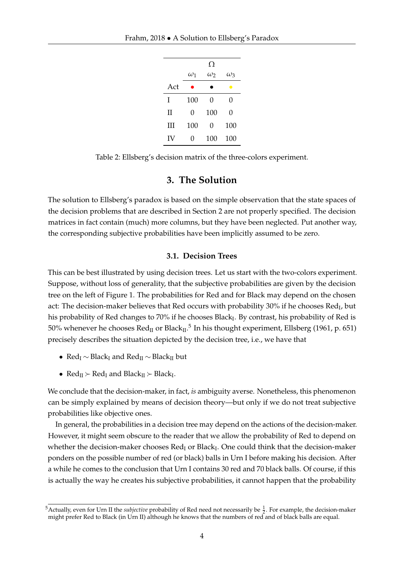|     |                   | Ω          |            |
|-----|-------------------|------------|------------|
|     | $\omega_1$        | $\omega_2$ | $\omega_3$ |
| Act | ۰                 |            | e          |
| T   | 100               | 0          | 0          |
| П   | 0                 | 100        | 0          |
| Ш   | 100               | 0          | 100        |
| IV  | $\mathbf{\Omega}$ | 100        | 100        |

Table 2: Ellsberg's decision matrix of the three-colors experiment.

### **3. The Solution**

The solution to Ellsberg's paradox is based on the simple observation that the state spaces of the decision problems that are described in Section 2 are not properly specified. The decision matrices in fact contain (much) more columns, but they have been neglected. Put another way, the corresponding subjective probabilities have been implicitly assumed to be zero.

#### **3.1. Decision Trees**

This can be best illustrated by using decision trees. Let us start with the two-colors experiment. Suppose, without loss of generality, that the subjective probabilities are given by the decision tree on the left of Figure 1. The probabilities for Red and for Black may depend on the chosen act: The decision-maker believes that Red occurs with probability 30% if he chooses Red<sub>I</sub>, but his probability of Red changes to 70% if he chooses Black $_{\rm I}$ . By contrast, his probability of Red is 50% whenever he chooses  $\text{Red}_{\rm II}$  or Black $_{\rm II}$ .<sup>5</sup> In his thought experiment, Ellsberg (1961, p. 651) precisely describes the situation depicted by the decision tree, i.e., we have that

- Red<sub>I</sub>  $\sim$  Black<sub>I</sub> and Red<sub>II</sub>  $\sim$  Black<sub>II</sub> but
- $Red_{II} \succ Red_{I}$  and  $Black_{II} \succ Black_{I}$ .

We conclude that the decision-maker, in fact, *is* ambiguity averse. Nonetheless, this phenomenon can be simply explained by means of decision theory—but only if we do not treat subjective probabilities like objective ones.

In general, the probabilities in a decision tree may depend on the actions of the decision-maker. However, it might seem obscure to the reader that we allow the probability of Red to depend on whether the decision-maker chooses  $\text{Red}_{\rm I}$  or Black<sub>I</sub>. One could think that the decision-maker ponders on the possible number of red (or black) balls in Urn I before making his decision. After a while he comes to the conclusion that Urn I contains 30 red and 70 black balls. Of course, if this is actually the way he creates his subjective probabilities, it cannot happen that the probability

<sup>&</sup>lt;sup>5</sup>Actually, even for Urn II the *subjective* probability of Red need not necessarily be  $\frac{1}{2}$ . For example, the decision-maker might prefer Red to Black (in Urn II) although he knows that the numbers of red and of black balls are equal.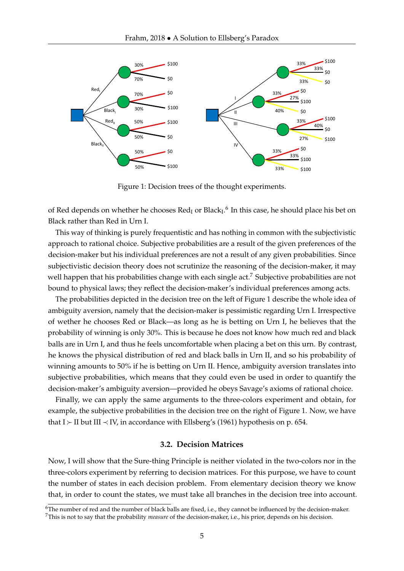

Figure 1: Decision trees of the thought experiments.

of Red depends on whether he chooses  $\text{Red}_{\text{I}}$  or Black<sub>I</sub>.<sup>6</sup> In this case, he should place his bet on Black rather than Red in Urn I.

This way of thinking is purely frequentistic and has nothing in common with the subjectivistic approach to rational choice. Subjective probabilities are a result of the given preferences of the decision-maker but his individual preferences are not a result of any given probabilities. Since subjectivistic decision theory does not scrutinize the reasoning of the decision-maker, it may well happen that his probabilities change with each single act.<sup>7</sup> Subjective probabilities are not bound to physical laws; they reflect the decision-maker's individual preferences among acts.

The probabilities depicted in the decision tree on the left of Figure 1 describe the whole idea of ambiguity aversion, namely that the decision-maker is pessimistic regarding Urn I. Irrespective of wether he chooses Red or Black—as long as he is betting on Urn I, he believes that the probability of winning is only 30%. This is because he does not know how much red and black balls are in Urn I, and thus he feels uncomfortable when placing a bet on this urn. By contrast, he knows the physical distribution of red and black balls in Urn II, and so his probability of winning amounts to 50% if he is betting on Urn II. Hence, ambiguity aversion translates into subjective probabilities, which means that they could even be used in order to quantify the decision-maker's ambiguity aversion—provided he obeys Savage's axioms of rational choice.

Finally, we can apply the same arguments to the three-colors experiment and obtain, for example, the subjective probabilities in the decision tree on the right of Figure 1. Now, we have that I  $\succ$  II but III  $\prec$  IV, in accordance with Ellsberg's (1961) hypothesis on p. 654.

#### **3.2. Decision Matrices**

Now, I will show that the Sure-thing Principle is neither violated in the two-colors nor in the three-colors experiment by referring to decision matrices. For this purpose, we have to count the number of states in each decision problem. From elementary decision theory we know that, in order to count the states, we must take all branches in the decision tree into account.

<sup>&</sup>lt;sup>6</sup>The number of red and the number of black balls are fixed, i.e., they cannot be influenced by the decision-maker. <sup>7</sup>This is not to say that the probability *measure* of the decision-maker, i.e., his prior, depends on his decision.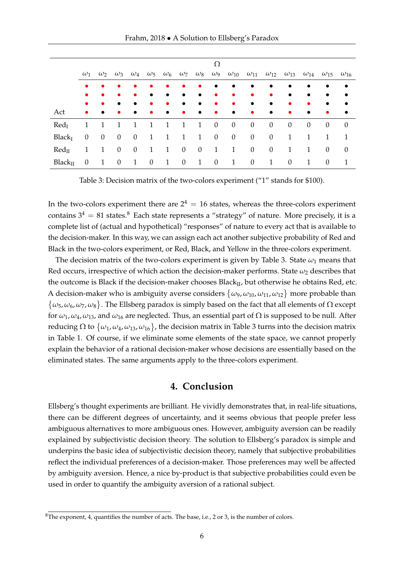Frahm, 2018 • A Solution to Ellsberg's Paradox

|                          | Ω              |                |              |                |                |                |                  |                  |                |                                                                                                                                                 |                  |                  |                  |                  |                             |           |
|--------------------------|----------------|----------------|--------------|----------------|----------------|----------------|------------------|------------------|----------------|-------------------------------------------------------------------------------------------------------------------------------------------------|------------------|------------------|------------------|------------------|-----------------------------|-----------|
|                          | $\omega_1$     |                |              |                |                |                |                  |                  |                | $\omega_2$ $\omega_3$ $\omega_4$ $\omega_5$ $\omega_6$ $\omega_7$ $\omega_8$ $\omega_9$ $\omega_{10}$ $\omega_{11}$ $\omega_{12}$ $\omega_{13}$ |                  |                  |                  | $\omega_{14}$    | $\omega_{15}$ $\omega_{16}$ |           |
|                          | $\bullet$      | $\bullet$      | $\bullet$    | $\bullet$      | $\bullet$      | $\bullet$      | $\bullet$        | $\bullet$        | $\bullet$      | $\bullet$                                                                                                                                       | $\bullet$        | $\bullet$        | $\bullet$        | $\bullet$        |                             | $\bullet$ |
|                          |                | $\bullet$      | $\bullet$    | $\bullet$      | $\bullet$      | $\bullet$      | $\bullet$        | $\bullet$        | $\bullet$      | $\bullet$                                                                                                                                       | $\bullet$        | $\bullet$        | $\bullet$        | $\bullet$        |                             | $\bullet$ |
|                          |                | $\bullet$      | $\bullet$    | $\bullet$      | $\bullet$      | $\bullet$      | $\bullet$        | $\bullet$        | $\bullet$      | $\bullet$                                                                                                                                       | $\bullet$        | $\bullet$        | $\bullet$        | $\bullet$        |                             | $\bullet$ |
| Act                      | $\bullet$      | $\bullet$      | $\bullet$    | $\bullet$      | $\bullet$      | $\bullet$      | $\bullet$        | $\bullet$        | $\bullet$      | $\bullet$                                                                                                                                       | $\bullet$        | $\bullet$        | $\bullet$        | $\bullet$        | $\bullet$                   | $\bullet$ |
| Red <sub>I</sub>         | 1              | $\overline{1}$ | 1            | 1              | $\overline{1}$ | 1              | $\mathbf{1}$     | 1                | $\overline{0}$ | $\overline{0}$                                                                                                                                  | $\overline{0}$   | $\overline{0}$   | $\theta$         | $\boldsymbol{0}$ | $\overline{0}$              | $\theta$  |
| Black <sub>I</sub>       | $\overline{0}$ | $\overline{0}$ | $\mathbf{0}$ | $\overline{0}$ | $\overline{1}$ | 1              | $\mathbf{1}$     | $\overline{1}$   | $\overline{0}$ | $\overline{0}$                                                                                                                                  | $\mathbf{0}$     | $\boldsymbol{0}$ | $\mathbf{1}$     | 1                | 1                           | 1         |
| $\text{Red}_{\text{II}}$ | 1              | $\overline{1}$ | $\mathbf{0}$ | $\overline{0}$ | 1              | 1              | $\overline{0}$   | $\boldsymbol{0}$ | 1              | 1                                                                                                                                               | $\overline{0}$   | $\boldsymbol{0}$ | $\mathbf{1}$     | 1                | $\theta$                    | $\theta$  |
| Black <sub>II</sub>      | $\overline{0}$ | $\overline{1}$ | $\theta$     | 1              | $\theta$       | $\overline{1}$ | $\boldsymbol{0}$ | $\mathbf{1}$     | $\theta$       | 1                                                                                                                                               | $\boldsymbol{0}$ | 1                | $\boldsymbol{0}$ | 1                | $\theta$                    | 1         |

Table 3: Decision matrix of the two-colors experiment ("1" stands for \$100).

In the two-colors experiment there are  $2^4 = 16$  states, whereas the three-colors experiment contains  $3^4 = 81$  states.<sup>8</sup> Each state represents a "strategy" of nature. More precisely, it is a complete list of (actual and hypothetical) "responses" of nature to every act that is available to the decision-maker. In this way, we can assign each act another subjective probability of Red and Black in the two-colors experiment, or Red, Black, and Yellow in the three-colors experiment.

The decision matrix of the two-colors experiment is given by Table 3. State  $\omega_1$  means that Red occurs, irrespective of which action the decision-maker performs. State  $\omega_2$  describes that the outcome is Black if the decision-maker chooses Black $_{II}$ , but otherwise he obtains Red, etc. A decision-maker who is ambiguity averse considers  $\{\omega_9, \omega_{10}, \omega_{11}, \omega_{12}\}$  more probable than  $\{\omega_5, \omega_6, \omega_7, \omega_8\}$ . The Ellsberg paradox is simply based on the fact that all elements of  $\Omega$  except for  $\omega_1$ ,  $\omega_4$ ,  $\omega_{13}$ , and  $\omega_{16}$  are neglected. Thus, an essential part of  $\Omega$  is supposed to be null. After reducing  $\Omega$  to  $\{\omega_1, \omega_4, \omega_{13}, \omega_{16}\}$ , the decision matrix in Table 3 turns into the decision matrix in Table 1. Of course, if we eliminate some elements of the state space, we cannot properly explain the behavior of a rational decision-maker whose decisions are essentially based on the eliminated states. The same arguments apply to the three-colors experiment.

### **4. Conclusion**

Ellsberg's thought experiments are brilliant. He vividly demonstrates that, in real-life situations, there can be different degrees of uncertainty, and it seems obvious that people prefer less ambiguous alternatives to more ambiguous ones. However, ambiguity aversion can be readily explained by subjectivistic decision theory. The solution to Ellsberg's paradox is simple and underpins the basic idea of subjectivistic decision theory, namely that subjective probabilities reflect the individual preferences of a decision-maker. Those preferences may well be affected by ambiguity aversion. Hence, a nice by-product is that subjective probabilities could even be used in order to quantify the ambiguity aversion of a rational subject.

 ${}^{8}$ The exponent, 4, quantifies the number of acts. The base, i.e., 2 or 3, is the number of colors.